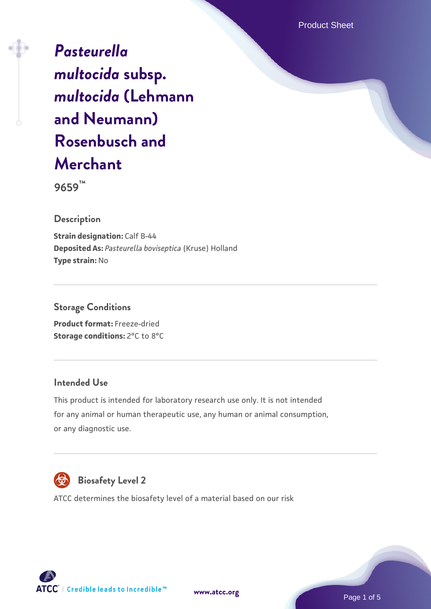Product Sheet

*[Pasteurella](https://www.atcc.org/products/9659) [multocida](https://www.atcc.org/products/9659)* **[subsp.](https://www.atcc.org/products/9659)** *[multocida](https://www.atcc.org/products/9659)* **[\(Lehmann](https://www.atcc.org/products/9659) [and Neumann\)](https://www.atcc.org/products/9659) [Rosenbusch and](https://www.atcc.org/products/9659) [Merchant](https://www.atcc.org/products/9659)**

**9659™**

**Description**

**Strain designation: Calf B-44 Deposited As:** *Pasteurella boviseptica* (Kruse) Holland **Type strain:** No

**Storage Conditions Product format:** Freeze-dried

**Storage conditions:** 2°C to 8°C

## **Intended Use**

This product is intended for laboratory research use only. It is not intended for any animal or human therapeutic use, any human or animal consumption, or any diagnostic use.



# **Biosafety Level 2**

ATCC determines the biosafety level of a material based on our risk



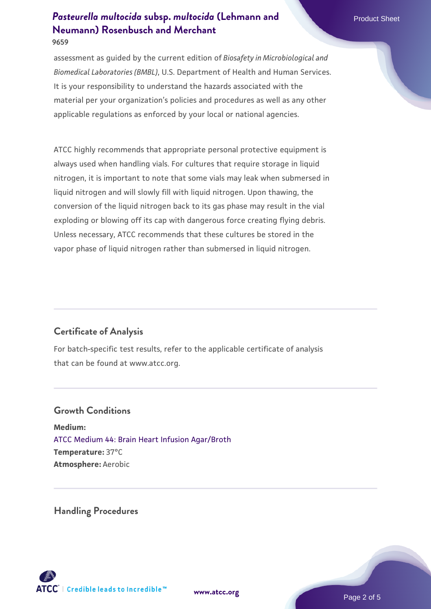assessment as guided by the current edition of *Biosafety in Microbiological and Biomedical Laboratories (BMBL)*, U.S. Department of Health and Human Services. It is your responsibility to understand the hazards associated with the material per your organization's policies and procedures as well as any other applicable regulations as enforced by your local or national agencies.

ATCC highly recommends that appropriate personal protective equipment is always used when handling vials. For cultures that require storage in liquid nitrogen, it is important to note that some vials may leak when submersed in liquid nitrogen and will slowly fill with liquid nitrogen. Upon thawing, the conversion of the liquid nitrogen back to its gas phase may result in the vial exploding or blowing off its cap with dangerous force creating flying debris. Unless necessary, ATCC recommends that these cultures be stored in the vapor phase of liquid nitrogen rather than submersed in liquid nitrogen.

# **Certificate of Analysis**

For batch-specific test results, refer to the applicable certificate of analysis that can be found at www.atcc.org.

#### **Growth Conditions**

**Medium:**  [ATCC Medium 44: Brain Heart Infusion Agar/Broth](https://www.atcc.org/-/media/product-assets/documents/microbial-media-formulations/4/4/atcc-medium-44.pdf?rev=ce06ac4e5438493b896cd46c7d875629) **Temperature:** 37°C **Atmosphere:** Aerobic

**Handling Procedures**



**[www.atcc.org](http://www.atcc.org)**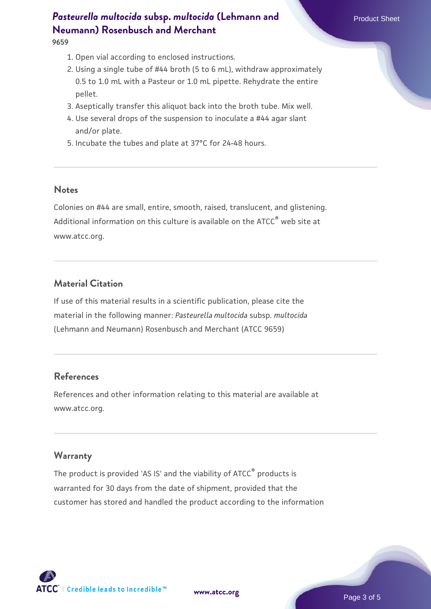**9659**

- 1. Open vial according to enclosed instructions.
- 2. Using a single tube of #44 broth (5 to 6 mL), withdraw approximately 0.5 to 1.0 mL with a Pasteur or 1.0 mL pipette. Rehydrate the entire pellet.
- 3. Aseptically transfer this aliquot back into the broth tube. Mix well.
- 4. Use several drops of the suspension to inoculate a #44 agar slant and/or plate.
- 5. Incubate the tubes and plate at 37°C for 24-48 hours.

#### **Notes**

Colonies on #44 are small, entire, smooth, raised, translucent, and glistening. Additional information on this culture is available on the ATCC<sup>®</sup> web site at www.atcc.org.

# **Material Citation**

If use of this material results in a scientific publication, please cite the material in the following manner: *Pasteurella multocida* subsp. *multocida* (Lehmann and Neumann) Rosenbusch and Merchant (ATCC 9659)

# **References**

References and other information relating to this material are available at www.atcc.org.

## **Warranty**

The product is provided 'AS IS' and the viability of ATCC® products is warranted for 30 days from the date of shipment, provided that the customer has stored and handled the product according to the information

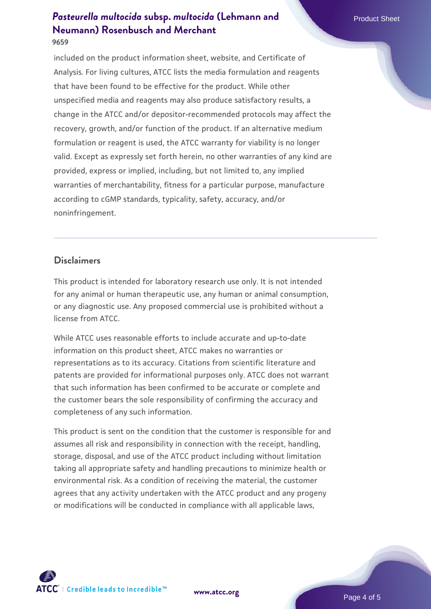included on the product information sheet, website, and Certificate of Analysis. For living cultures, ATCC lists the media formulation and reagents that have been found to be effective for the product. While other unspecified media and reagents may also produce satisfactory results, a change in the ATCC and/or depositor-recommended protocols may affect the recovery, growth, and/or function of the product. If an alternative medium formulation or reagent is used, the ATCC warranty for viability is no longer valid. Except as expressly set forth herein, no other warranties of any kind are provided, express or implied, including, but not limited to, any implied warranties of merchantability, fitness for a particular purpose, manufacture according to cGMP standards, typicality, safety, accuracy, and/or noninfringement.

## **Disclaimers**

This product is intended for laboratory research use only. It is not intended for any animal or human therapeutic use, any human or animal consumption, or any diagnostic use. Any proposed commercial use is prohibited without a license from ATCC.

While ATCC uses reasonable efforts to include accurate and up-to-date information on this product sheet, ATCC makes no warranties or representations as to its accuracy. Citations from scientific literature and patents are provided for informational purposes only. ATCC does not warrant that such information has been confirmed to be accurate or complete and the customer bears the sole responsibility of confirming the accuracy and completeness of any such information.

This product is sent on the condition that the customer is responsible for and assumes all risk and responsibility in connection with the receipt, handling, storage, disposal, and use of the ATCC product including without limitation taking all appropriate safety and handling precautions to minimize health or environmental risk. As a condition of receiving the material, the customer agrees that any activity undertaken with the ATCC product and any progeny or modifications will be conducted in compliance with all applicable laws,



**[www.atcc.org](http://www.atcc.org)**

Page 4 of 5